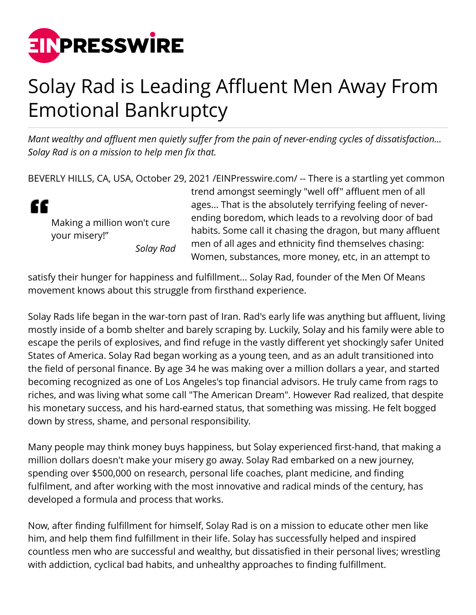

## Solay Rad is Leading Affluent Men Away From Emotional Bankruptcy

*Mant wealthy and affluent men quietly suffer from the pain of never-ending cycles of dissatisfaction... Solay Rad is on a mission to help men fix that.*

BEVERLY HILLS, CA, USA, October 29, 2021 [/EINPresswire.com](http://www.einpresswire.com)/ -- There is a startling yet common

" Making a million won't cure your misery!" *Solay Rad* trend amongst seemingly "well off" affluent men of all ages... That is the absolutely terrifying feeling of neverending boredom, which leads to a revolving door of bad habits. Some call it chasing the dragon, but many affluent men of all ages and ethnicity find themselves chasing: Women, substances, more money, etc, in an attempt to

satisfy their hunger for happiness and fulfillment... Solay Rad, founder of the Men Of Means movement knows about this struggle from firsthand experience.

Solay Rads life began in the war-torn past of Iran. Rad's early life was anything but affluent, living mostly inside of a bomb shelter and barely scraping by. Luckily, Solay and his family were able to escape the perils of explosives, and find refuge in the vastly different yet shockingly safer United States of America. Solay Rad began working as a young teen, and as an adult transitioned into the field of personal finance. By age 34 he was making over a million dollars a year, and started becoming recognized as one of Los Angeles's top financial advisors. He truly came from rags to riches, and was living what some call "The American Dream". However Rad realized, that despite his monetary success, and his hard-earned status, that something was missing. He felt bogged down by stress, shame, and personal responsibility.

Many people may think money buys happiness, but Solay experienced first-hand, that making a million dollars doesn't make your misery go away. Solay Rad embarked on a new journey, spending over \$500,000 on research, personal life coaches, plant medicine, and finding fulfilment, and after working with the most innovative and radical minds of the century, has developed a formula and process that works.

Now, after finding fulfillment for himself, Solay Rad is on a mission to educate other men like him, and help them find fulfillment in their life. Solay has successfully helped and inspired countless men who are successful and wealthy, but dissatisfied in their personal lives; wrestling with addiction, cyclical bad habits, and unhealthy approaches to finding fulfillment.